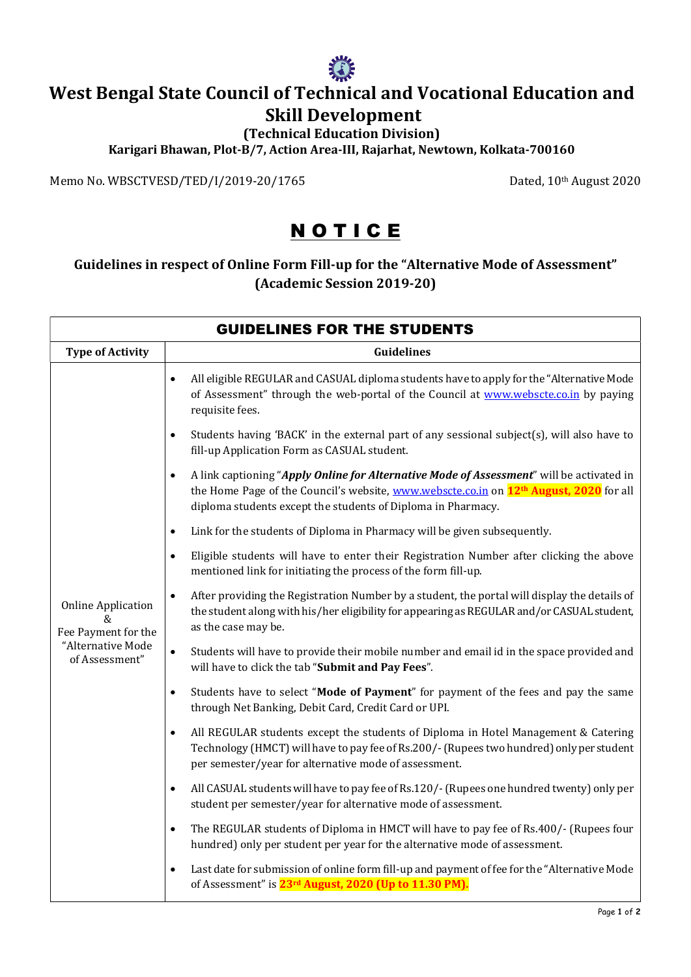

## West Bengal State Council of Technical and Vocational Education and Skill Development

## (Technical Education Division)

Karigari Bhawan, Plot-B/7, Action Area-III, Rajarhat, Newtown, Kolkata-700160

Memo No. WBSCTVESD/TED/I/2019-20/1765 Dated, 10th August 2020

## **NOTICE**

## Guidelines in respect of Online Form Fill-up for the "Alternative Mode of Assessment" (Academic Session 2019-20)

| <b>GUIDELINES FOR THE STUDENTS</b>                                                           |                                                                                                                                                                                                                                                                             |  |
|----------------------------------------------------------------------------------------------|-----------------------------------------------------------------------------------------------------------------------------------------------------------------------------------------------------------------------------------------------------------------------------|--|
| <b>Type of Activity</b>                                                                      | <b>Guidelines</b>                                                                                                                                                                                                                                                           |  |
| <b>Online Application</b><br>&<br>Fee Payment for the<br>"Alternative Mode<br>of Assessment" | All eligible REGULAR and CASUAL diploma students have to apply for the "Alternative Mode<br>$\bullet$<br>of Assessment" through the web-portal of the Council at www.webscte.co.in by paying<br>requisite fees.                                                             |  |
|                                                                                              | Students having 'BACK' in the external part of any sessional subject(s), will also have to<br>$\bullet$<br>fill-up Application Form as CASUAL student.                                                                                                                      |  |
|                                                                                              | A link captioning "Apply Online for Alternative Mode of Assessment" will be activated in<br>$\bullet$<br>the Home Page of the Council's website, www.webscte.co.in on 12 <sup>th</sup> August, 2020 for all<br>diploma students except the students of Diploma in Pharmacy. |  |
|                                                                                              | Link for the students of Diploma in Pharmacy will be given subsequently.<br>$\bullet$                                                                                                                                                                                       |  |
|                                                                                              | Eligible students will have to enter their Registration Number after clicking the above<br>$\bullet$<br>mentioned link for initiating the process of the form fill-up.                                                                                                      |  |
|                                                                                              | After providing the Registration Number by a student, the portal will display the details of<br>$\bullet$<br>the student along with his/her eligibility for appearing as REGULAR and/or CASUAL student,<br>as the case may be.                                              |  |
|                                                                                              | Students will have to provide their mobile number and email id in the space provided and<br>$\bullet$<br>will have to click the tab "Submit and Pay Fees".                                                                                                                  |  |
|                                                                                              | Students have to select "Mode of Payment" for payment of the fees and pay the same<br>$\bullet$<br>through Net Banking, Debit Card, Credit Card or UPI.                                                                                                                     |  |
|                                                                                              | All REGULAR students except the students of Diploma in Hotel Management & Catering<br>$\bullet$<br>Technology (HMCT) will have to pay fee of Rs.200/- (Rupees two hundred) only per student<br>per semester/year for alternative mode of assessment.                        |  |
|                                                                                              | All CASUAL students will have to pay fee of Rs.120/- (Rupees one hundred twenty) only per<br>$\bullet$<br>student per semester/year for alternative mode of assessment.                                                                                                     |  |
|                                                                                              | The REGULAR students of Diploma in HMCT will have to pay fee of Rs.400/- (Rupees four<br>$\bullet$<br>hundred) only per student per year for the alternative mode of assessment.                                                                                            |  |
|                                                                                              | Last date for submission of online form fill-up and payment of fee for the "Alternative Mode<br>$\bullet$<br>of Assessment" is 23 <sup>rd</sup> August, 2020 (Up to 11.30 PM).                                                                                              |  |